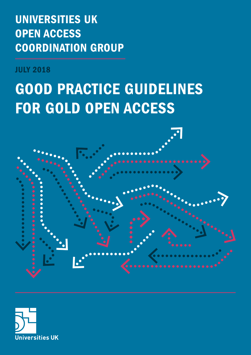UNIVERSITIES UK OPEN ACCESS COORDINATION GROUP

JULY 2018

# GOOD PRACTICE GUIDELINES FOR GOLD OPEN ACCESS



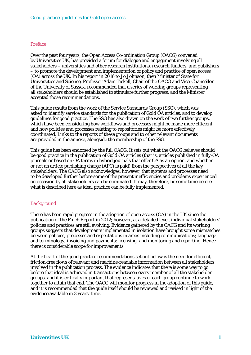#### *Preface*

Over the past four years, the Open Access Co-ordination Group (OACG) convened by Universities UK, has provided a forum for dialogue and engagement involving all stakeholders – universities and other research institutions, research funders, and publishers – to promote the development and implementation of policy and practice of open access (OA) across the UK. In his report in 2016 to Jo Johnson, then Minister of State for Universities and Science, Professor Adam Tickell, Chair of the OACG and Vice-Chancellor of the University of Sussex, recommended that a series of working groups representing all stakeholders should be established to stimulate further progress; and the Minister accepted those recommendations.

This guide results from the work of the Service Standards Group (SSG), which was asked to identify service standards for the publication of Gold OA articles, and to develop guidelines for good practice. The SSG has also drawn on the work of two further groups, which have been considering how workflows and processes might be made more efficient, and how policies and processes relating to repositories might be more effectively coordinated. Links to the reports of these groups and to other relevant documents are provided in the annexe, alongside the membership of the SSG.

This guide has been endorsed by the full OACG. It sets out what the OACG believes should be good practice in the publication of Gold OA articles (that is, articles published in fully-OA journals or based on OA terms in hybrid journals that offer OA as an option, and whether or not an article publishing charge (APC) is paid) from the perspectives of all the key stakeholders. The OACG also acknowledges, however, that systems and processes need to be developed further before some of the present inefficiencies and problems experienced on occasion by all stakeholders can be eliminated. It may, therefore, be some time before what is described here as ideal practice can be fully implemented.

## *Background*

There has been rapid progress in the adoption of open access (OA) in the UK since the publication of the Finch Report in 2012; however, at a detailed level, individual stakeholders' policies and practices are still evolving. Evidence gathered by the OACG and its working groups suggests that developments implemented in isolation have brought some mismatches between policies, processes and expectations in areas including communications; language and terminology; invoicing and payments; licensing; and monitoring and reporting. Hence there is considerable scope for improvements.

At the heart of the good practice recommendations set out below is the need for efficient, friction-free flows of relevant and machine-readable information between all stakeholders involved in the publication process. The evidence indicates that there is some way to go before that ideal is achieved in transactions between every member of all the stakeholder groups, and it is critically important that representatives of each group continue to work together to attain that end. The OACG will monitor progress in the adoption of this guide, and it is recommended that the guide itself should be reviewed and revised in light of the evidence available in 3 years' time.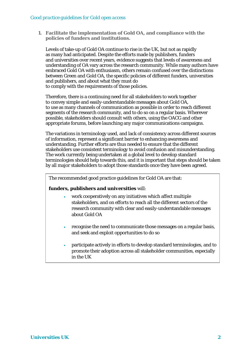**1. Facilitate the implementation of Gold OA, and compliance with the policies of funders and institutions.**

Levels of take-up of Gold OA continue to rise in the UK, but not as rapidly as many had anticipated. Despite the efforts made by publishers, funders and universities over recent years, evidence suggests that levels of awareness and understanding of OA vary across the research community. While many authors have embraced Gold OA with enthusiasm, others remain confused over the distinctions between Green and Gold OA, the specific policies of different funders, universities and publishers, and about what they must do to comply with the requirements of those policies.

Therefore, there is a continuing need for all stakeholders to work together to convey simple and easily-understandable messages about Gold OA, to use as many channels of communication as possible in order to reach different segments of the research community, and to do so on a regular basis. Wherever possible, stakeholders should consult with others, using the OACG and other appropriate forums, before launching any major communications campaigns.

The variations in terminology used, and lack of consistency across different sources of information, represent a significant barrier to enhancing awareness and understanding. Further efforts are thus needed to ensure that the different stakeholders use consistent terminology to avoid confusion and misunderstanding. The work currently being undertaken at a global level to develop standard terminologies should help towards this, and it is important that steps should be taken by all major stakeholders to adopt those standards once they have been agreed.

The recommended good practice guidelines for Gold OA are that:

## *funders, publishers and universities* will:

- work cooperatively on any initiatives which affect multiple stakeholders, and on efforts to reach all the different sectors of the research community with clear and easily-understandable messages about Gold OA
- recognise the need to communicate those messages on a regular basis, and seek and exploit opportunities to do so
- participate actively in efforts to develop standard terminologies, and to promote their adoption across all stakeholder communities, especially in the UK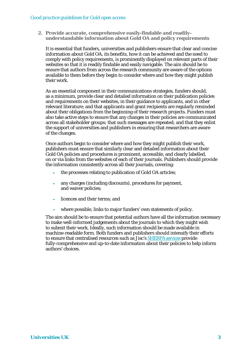#### *Good practice guidelines for Gold open access*

**2. Provide accurate, comprehensive easily-findable and readilyunderstandable information about Gold OA and policy requirements** 

It is essential that funders, universities and publishers ensure that clear and concise information about Gold OA, its benefits, how it can be achieved and the need to comply with policy requirements, is prominently displayed on relevant parts of their websites so that it is readily findable and easily navigable. The aim should be to ensure that authors from across the research community are aware of the options available to them before they begin to consider where and how they might publish their work.

As an essential component in their communications strategies, funders should, as a minimum, provide clear and detailed information on their publication policies and requirements on their websites, in their guidance to applicants, and in other relevant literature; and that applicants and grant recipients are regularly reminded about their obligations from the beginning of their research projects. Funders must also take active steps to ensure that any changes in their policies are communicated across all stakeholder groups; that such messages are repeated; and that they enlist the support of universities and publishers in ensuring that researchers are aware of the changes.

Once authors begin to consider where and how they might publish their work, publishers must ensure that similarly clear and detailed information about their Gold OA policies and procedures is prominent, accessible, and clearly labelled, on or via links from the websites of each of their journals. Publishers should provide the information consistently across all their journals, covering:

- the processes relating to publication of Gold OA articles;
- any charges (including discounts), procedures for payment, and waiver policies;
- licences and their terms; and
- where possible, links to major funders' own statements of policy.

The aim should be to ensure that potential authors have all the information necessary to make well-informed judgements about the journals to which they might wish to submit their work. Ideally, such information should be made available in machine-readable form. Both funders and publishers should intensify their efforts to ensure that centralised resources such as Jisc'[s SHERPA services](https://www.jisc.ac.uk/sherpa) provide fully-comprehensive and up-to-date information about their policies to help inform authors' choices.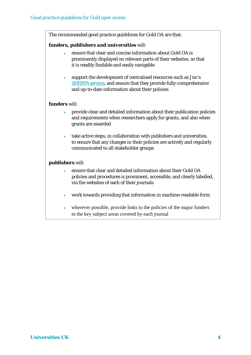The recommended good practice guidelines for Gold OA are that:

## *funders, publishers and universities* will:

- ensure that clear and concise information about Gold OA is prominently displayed on relevant parts of their websites, so that it is readily findable and easily navigable
- support the development of centralised resources such as Jisc's [SHERPA services,](https://www.jisc.ac.uk/sherpa) and ensure that they provide fully-comprehensive and up-to-date information about their policies

## *funders* will:

- provide clear and detailed information about their publication policies and requirements when researchers apply for grants, and also when grants are awarded
- take active steps, in collaboration with publishers and universities, to ensure that any changes in their policies are actively and regularly communicated to all stakeholder groups

# *publishers* will:

- ensure that clear and detailed information about their Gold OA policies and procedures is prominent, accessible, and clearly labelled, via the websites of each of their journals
- work towards providing that information in machine-readable form
- wherever possible, provide links to the policies of the major funders in the key subject areas covered by each journal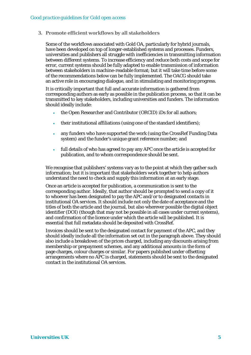**3. Promote efficient workflows by all stakeholders**

Some of the workflows associated with Gold OA, particularly for hybrid journals, have been developed on top of longer-established systems and processes. Funders, universities and publishers all struggle with inefficiencies in transmitting information between different systems. To increase efficiency and reduce both costs and scope for error, current systems should be fully adapted to enable transmission of information between stakeholders in machine-readable format; but it will take time before some of the recommendations below can be fully implemented. The OACG should take an active role in encouraging dialogue, and in stimulating and monitoring progress.

It is critically important that full and accurate information is gathered from corresponding authors as early as possible in the publication process, so that it can be transmitted to key stakeholders, including universities and funders. The information should ideally include:

- the Open Researcher and Contributor (ORCID) iDs for all authors;
- their institutional affiliations (using one of the standard identifiers);
- any funders who have supported the work (using the CrossRef Funding Data system) and the funder's unique grant reference number; and
- full details of who has agreed to pay any APC once the article is accepted for publication, and to whom correspondence should be sent.

We recognise that publishers' systems vary as to the point at which they gather such information; but it is important that stakeholders work together to help authors understand the need to check and supply this information at an early stage.

Once an article is accepted for publication, a communication is sent to the corresponding author. Ideally, that author should be prompted to send a copy of it to whoever has been designated to pay the APC and/or to designated contacts in institutional OA services. It should include not only the date of acceptance and the titles of both the article and the journal, but also wherever possible the digital object identifier (DOI) (though that may not be possible in all cases under current systems), and confirmation of the licence under which the article will be published. It is essential that full metadata should be deposited with CrossRef.

Invoices should be sent to the designated contact for payment of the APC, and they should ideally include all the information set out in the paragraph above. They should also include a breakdown of the prices charged, including any discounts arising from membership or prepayment schemes, and any additional amounts in the form of page charges, colour charges or similar. For papers published under offsetting arrangements where no APC is charged, statements should be sent to the designated contact in the institutional OA services.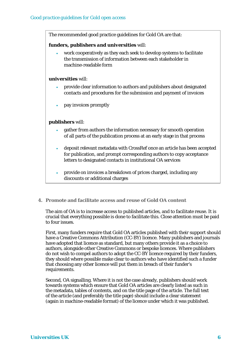The recommended good practice guidelines for Gold OA are that:

#### *funders, publishers and universities* will:

• work cooperatively as they each seek to develop systems to facilitate the transmission of information between each stakeholder in machine-readable form

#### *universities* will:

- provide clear information to authors and publishers about designated contacts and procedures for the submission and payment of invoices
- pay invoices promptly

## *publishers* will:

- gather from authors the information necessary for smooth operation of all parts of the publication process at an early stage in that process
- deposit relevant metadata with CrossRef once an article has been accepted for publication, and prompt corresponding authors to copy acceptance letters to designated contacts in institutional OA services
- provide on invoices a breakdown of prices charged, including any discounts or additional charges

## **4. Promote and facilitate access and reuse of Gold OA content**

The aim of OA is to increase access to published articles, and to facilitate reuse. It is crucial that everything possible is done to facilitate this. Close attention must be paid to four issues.

First, many funders require that Gold OA articles published with their support should have a Creative Commons Attribution (CC-BY) licence. Many publishers and journals have adopted that licence as standard, but many others provide it as a choice to authors, alongside other Creative Commons or bespoke licences. Where publishers do not wish to compel authors to adopt the CC-BY licence required by their funders, they should where possible make clear to authors who have identified such a funder that choosing any other licence will put them in breach of their funder's requirements.

Second, OA signalling. Where it is not the case already, publishers should work towards systems which ensure that Gold OA articles are clearly listed as such in the metadata, tables of contents, and on the title page of the article. The full text of the article (and preferably the title page) should include a clear statement (again in machine-readable format) of the licence under which it was published.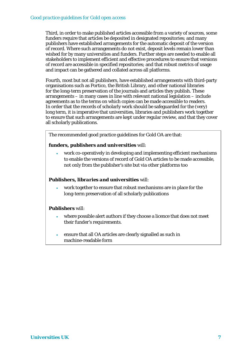Third, in order to make published articles accessible from a variety of sources, some funders require that articles be deposited in designated repositories; and many publishers have established arrangements for the automatic deposit of the version of record. Where such arrangements do not exist, deposit levels remain lower than wished for by many universities and funders. Further steps are needed to enable all stakeholders to implement efficient and effective procedures to ensure that versions of record are accessible in specified repositories; and that robust metrics of usage and impact can be gathered and collated across all platforms.

Fourth, most but not all publishers, have established arrangements with third-party organisations such as Portico, the British Library, and other national libraries for the long-term preservation of the journals and articles they publish. These arrangements – in many cases in line with relevant national legislation – include agreements as to the terms on which copies can be made accessible to readers. In order that the records of scholarly work should be safeguarded for the (very) long term, it is imperative that universities, libraries and publishers work together to ensure that such arrangements are kept under regular review, and that they cover all scholarly publications.

The recommended good practice guidelines for Gold OA are that:

## *funders, publishers and universities* will:

• work co-operatively in developing and implementing efficient mechanisms to enable the versions of record of Gold OA articles to be made accessible, not only from the publisher's site but via other platforms too

# *Publishers, libraries and universities* will:

• work together to ensure that robust mechanisms are in place for the long-term preservation of all scholarly publications

## *Publishers* will:

- where possible alert authors if they choose a licence that does not meet their funder's requirements.
- ensure that all OA articles are clearly signalled as such in machine-readable form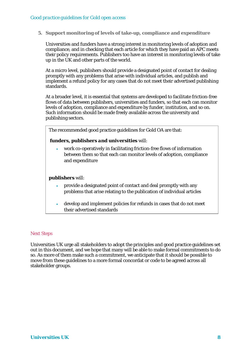**5. Support monitoring of levels of take-up, compliance and expenditure**

Universities and funders have a strong interest in monitoring levels of adoption and compliance, and in checking that each article for which they have paid an APC meets their policy requirements. Publishers too have an interest in monitoring levels of take up in the UK and other parts of the world.

At a micro level, publishers should provide a designated point of contact for dealing promptly with any problems that arise with individual articles, and publish and implement a refund policy for any cases that do not meet their advertised publishing standards.

At a broader level, it is essential that systems are developed to facilitate friction-free flows of data between publishers, universities and funders, so that each can monitor levels of adoption, compliance and expenditure by funder, institution, and so on. Such information should be made freely available across the university and publishing sectors.

The recommended good practice guidelines for Gold OA are that:

#### *funders, publishers and universities* will:

• work co-operatively in facilitating friction-free flows of information between them so that each can monitor levels of adoption, compliance and expenditure

#### *publishers* will:

- provide a designated point of contact and deal promptly with any problems that arise relating to the publication of individual articles
- develop and implement policies for refunds in cases that do not meet their advertised standards

#### *Next Steps*

Universities UK urge all stakeholders to adopt the principles and good practice guidelines set out in this document, and we hope that many will be able to make formal commitments to do so. As more of them make such a commitment, we anticipate that it should be possible to move from these guidelines to a more formal concordat or code to be agreed across all stakeholder groups.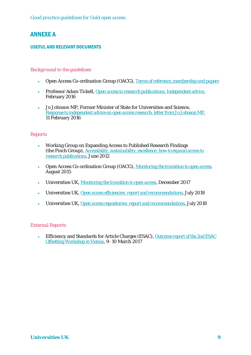# ANNEXE A

# USEFUL AND RELEVANT DOCUMENTS

# *Background to the guidelines*

- Open Access Co-ordination Group (OACG), *[Terms of reference, membership and papers](https://www.universitiesuk.ac.uk/policy-and-analysis/research-policy/open-science/Pages/uuk-open-access-coordination-group.aspx)*
- Professor Adam Tickell, *[Open access to research publications: Independent advice,](http://www.gov.uk/government/publications/open-access-to-research-independent-advice)* February 2016
- Jo Johnson MP, Former Minister of State for Universities and Science, *[Response to independent advice on open access research: letter from Jo Johnson MP](http://www.gov.uk/government/uploads/system/uploads/attachment_data/file/499945/bis-16-122-open-access-research-response.pdf)*, 11 February 2016

# *Reports*

- Working Group on Expanding Access to Published Research Findings (the Finch Group), *[Accessibility, sustainability, excellence: how to expand access to](https://www.acu.ac.uk/research-information-network/finch-report-final)  [research publications](https://www.acu.ac.uk/research-information-network/finch-report-final)*, June 2012
- Open Access Co-ordination Group (OACG), *[Monitoring the transition to open access](https://www.acu.ac.uk/research-information-network/monitoring-transition-to-open-access)*, August 2015
- Universities UK, *[Monitoring the transition to open access,](http://www.universitiesuk.ac.uk/policy-and-analysis/reports/Pages/monitoring-transition-open-access-2017.aspx)* December 2017
- Universities UK, *[Open access efficiencies: report and recommendations,](https://www.universitiesuk.ac.uk/policy-and-analysis/reports/Documents/2018/open-access-efficiencies-report-and-recommendations.pdf)* July 2018
- Universities UK, *Open access repositories: [report and recommendations,](https://www.universitiesuk.ac.uk/policy-and-analysis/reports/Documents/2018/open-access-repositories-report-and-recommendations.pdf)* July 2018

## *External Reports*

• Efficiency and Standards for Article Charges (ESAC), *[Outcome report of the 2nd ESAC](http://esac-initiative.org/wp-content/uploads/2017/03/esac_offsetting_workshopII_report.pdf)  [Offsetting Workshop in Vienna](http://esac-initiative.org/wp-content/uploads/2017/03/esac_offsetting_workshopII_report.pdf)*, 9–10 March 2017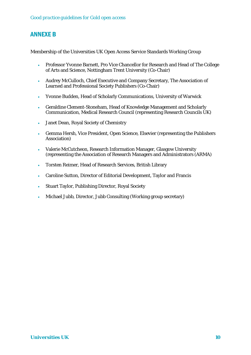# ANNEXE B

Membership of the Universities UK Open Access Service Standards Working Group

- Professor Yvonne Barnett, Pro Vice Chancellor for Research and Head of The College of Arts and Science, Nottingham Trent University (Co-Chair)
- Audrey McCulloch, Chief Executive and Company Secretary, The Association of Learned and Professional Society Publishers (Co-Chair)
- Yvonne Budden, Head of Scholarly Communications, University of Warwick
- Geraldine Clement-Stoneham, Head of Knowledge Management and Scholarly Communication, Medical Research Council (representing Research Councils UK)
- Janet Dean, Royal Society of Chemistry
- Gemma Hersh, Vice President, Open Science, Elsevier (representing the Publishers Association)
- Valerie McCutcheon, Research Information Manager, Glasgow University (representing the Association of Research Managers and Administrators (ARMA)
- Torsten Reimer, Head of Research Services, British Library
- Caroline Sutton, Director of Editorial Development, Taylor and Francis
- Stuart Taylor, Publishing Director, Royal Society
- Michael Jubb, Director, Jubb Consulting (Working group secretary)